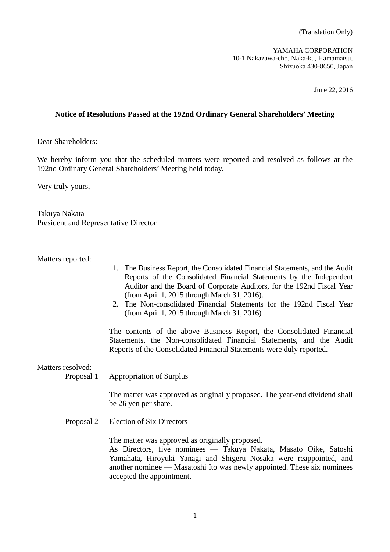YAMAHA CORPORATION 10-1 Nakazawa-cho, Naka-ku, Hamamatsu, Shizuoka 430-8650, Japan

June 22, 2016

# **Notice of Resolutions Passed at the 192nd Ordinary General Shareholders' Meeting**

Dear Shareholders:

We hereby inform you that the scheduled matters were reported and resolved as follows at the 192nd Ordinary General Shareholders' Meeting held today.

Very truly yours,

Takuya Nakata President and Representative Director

Matters reported:

- 1. The Business Report, the Consolidated Financial Statements, and the Audit Reports of the Consolidated Financial Statements by the Independent Auditor and the Board of Corporate Auditors, for the 192nd Fiscal Year (from April 1, 2015 through March 31, 2016).
- 2. The Non-consolidated Financial Statements for the 192nd Fiscal Year (from April 1, 2015 through March 31, 2016)

The contents of the above Business Report, the Consolidated Financial Statements, the Non-consolidated Financial Statements, and the Audit Reports of the Consolidated Financial Statements were duly reported.

Matters resolved:

Proposal 1 Appropriation of Surplus

The matter was approved as originally proposed. The year-end dividend shall be 26 yen per share.

Proposal 2 Election of Six Directors

The matter was approved as originally proposed.

As Directors, five nominees –– Takuya Nakata, Masato Oike, Satoshi Yamahata, Hiroyuki Yanagi and Shigeru Nosaka were reappointed, and another nominee –– Masatoshi Ito was newly appointed. These six nominees accepted the appointment.